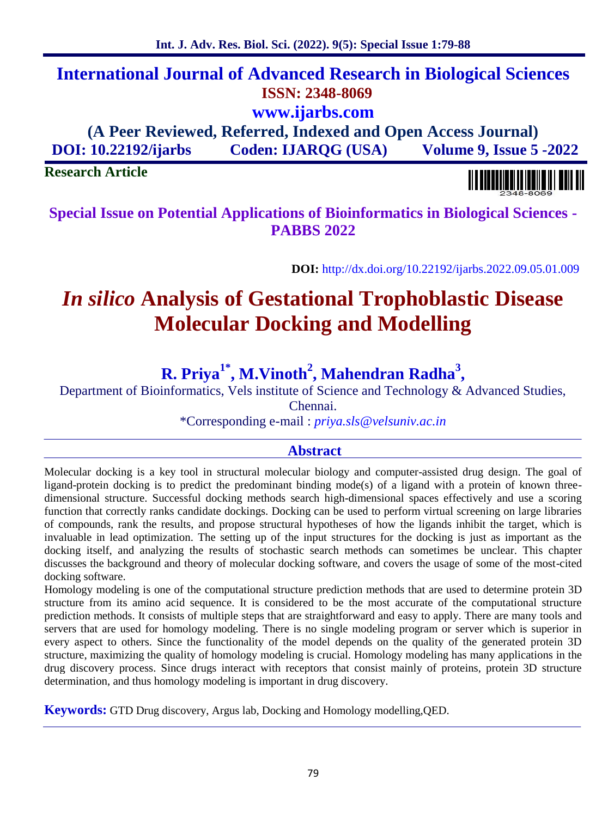# **International Journal of Advanced Research in Biological Sciences ISSN: 2348-8069 www.ijarbs.com**

**(A Peer Reviewed, Referred, Indexed and Open Access Journal) DOI: 10.22192/ijarbs Coden: IJARQG (USA) Volume 9, Issue 5 -2022**

# **Research Article**

**Special Issue on Potential Applications of Bioinformatics in Biological Sciences - PABBS 2022**

**DOI:** http://dx.doi.org/10.22192/ijarbs.2022.09.05.01.009

# *In silico* **Analysis of Gestational Trophoblastic Disease Molecular Docking and Modelling**

# **R. Priya1\*, M.Vinoth<sup>2</sup> , Mahendran Radha<sup>3</sup> ,**

Department of Bioinformatics, Vels institute of Science and Technology & Advanced Studies,

Chennai.

\*Corresponding e-mail : *priya.sls@velsuniv.ac.in*

## **Abstract**

Molecular docking is a key tool in structural molecular biology and computer-assisted drug design. The goal of ligand-protein docking is to predict the predominant binding mode(s) of a ligand with a protein of known three dimensional structure. Successful docking methods search high-dimensional spaces effectively and use a scoring function that correctly ranks candidate dockings. Docking can be used to perform virtual screening on large libraries of compounds, rank the results, and propose structural hypotheses of how the ligands inhibit the target, which is invaluable in lead optimization. The setting up of the input structures for the docking is just as important as the docking itself, and analyzing the results of stochastic search methods can sometimes be unclear. This chapter discusses the background and theory of molecular docking software, and covers the usage of some of the most-cited docking software.

Homology modeling is one of the computational structure prediction methods that are used to determine protein 3D structure from its amino acid sequence. It is considered to be the most accurate of the computational structure prediction methods. It consists of multiple steps that are straightforward and easy to apply. There are many tools and servers that are used for homology modeling. There is no single modeling program or server which is superior in every aspect to others. Since the functionality of the model depends on the quality of the generated protein 3D structure, maximizing the quality of homology modeling is crucial. Homology modeling has many applications in the drug discovery process. Since drugs interact with receptors that consist mainly of proteins, protein 3D structure determination, and thus homology modeling is important in drug discovery.

**Keywords:** GTD Drug discovery, Argus lab, Docking and Homology modelling,QED.

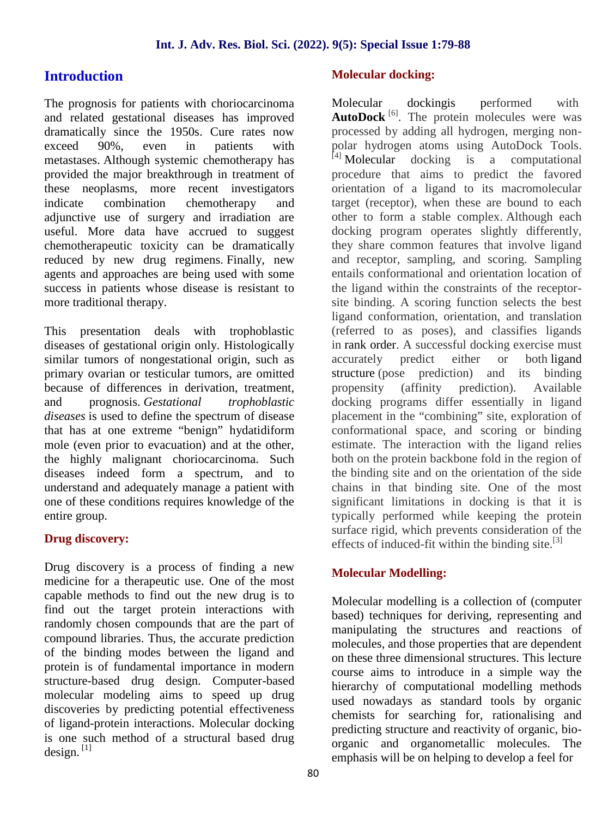# **Introduction**

The prognosis for patients with choriocarcinoma Molecular and related gestational diseases has improved dramatically since the 1950s. Cure rates now exceed 90%, even in patients with metastases. Although systemic chemotherapy has provided the major breakthrough in treatment of these neoplasms, more recent investigators indicate combination chemotherapy and adjunctive use of surgery and irradiation are useful. More data have accrued to suggest chemotherapeutic toxicity can be dramatically reduced by new drug regimens. Finally, new agents and approaches are being used with some success in patients whose disease is resistant to more traditional therapy.

This presentation deals with trophoblastic diseases of gestational origin only. Histologically similar tumors of nongestational origin, such as primary ovarian or testicular tumors, are omitted because of differences in derivation, treatment, and prognosis. *Gestational trophoblastic diseases* is used to define the spectrum of disease that has at one extreme "benign" hydatidiform mole (even prior to evacuation) and at the other, the highly malignant choriocarcinoma. Such diseases indeed form a spectrum, and to understand and adequately manage a patient with one of these conditions requires knowledge of the entire group.

## **Drug discovery:**

Drug discovery is a process of finding a new medicine for a therapeutic use. One of the most capable methods to find out the new drug is to find out the target protein interactions with randomly chosen compounds that are the part of compound libraries. Thus, the accurate prediction of the binding modes between the ligand and protein is of fundamental importance in modern structure-based drug design. Computer-based molecular modeling aims to speed up drug discoveries by predicting potential effectiveness of ligand-protein interactions. Molecular docking is one such method of a structural based drug design.  $^{[1]}$ 

## **Molecular docking:**

Molecular dockingis performed with AutoDock<sup>[6]</sup>. The protein molecules were was processed by adding all hydrogen, merging non polar hydrogen atoms using AutoDock Tools.  $^{[4]}$  Molecular docking is a computational procedure that aims to predict the favored orientation of a ligand to its macromolecular target (receptor), when these are bound to each other to form a stable complex. Although each docking program operates slightly differently, they share common features that involve ligand and receptor, sampling, and scoring. Sampling entails conformational and orientation location of the ligand within the constraints of the receptor site binding. A scoring function selects the best ligand conformation, orientation, and translation (referred to as poses), and classifies ligands in rank order. A successful docking exercise must accurately predict either or both ligand structure (pose prediction) and its binding propensity (affinity prediction). Available docking programs differ essentially in ligand placement in the "combining" site, exploration of conformational space, and scoring or binding estimate. The interaction with the ligand relies both on the protein backbone fold in the region of the binding site and on the orientation of the side chains in that binding site. One of the most significant limitations in docking is that it is typically performed while keeping the protein surface rigid, which prevents consideration of the effects of induced-fit within the binding site. $^{[3]}$ 

## **Molecular Modelling:**

Molecular modelling is a collection of (computer based) techniques for deriving, representing and manipulating the structures and reactions of molecules, and those properties that are dependent on these three dimensional structures. This lecture course aims to introduce in a simple way the hierarchy of computational modelling methods used nowadays as standard tools by organic chemists for searching for, rationalising and predicting structure and reactivity of organic, bio organic and organometallic molecules. The emphasis will be on helping to develop a feel for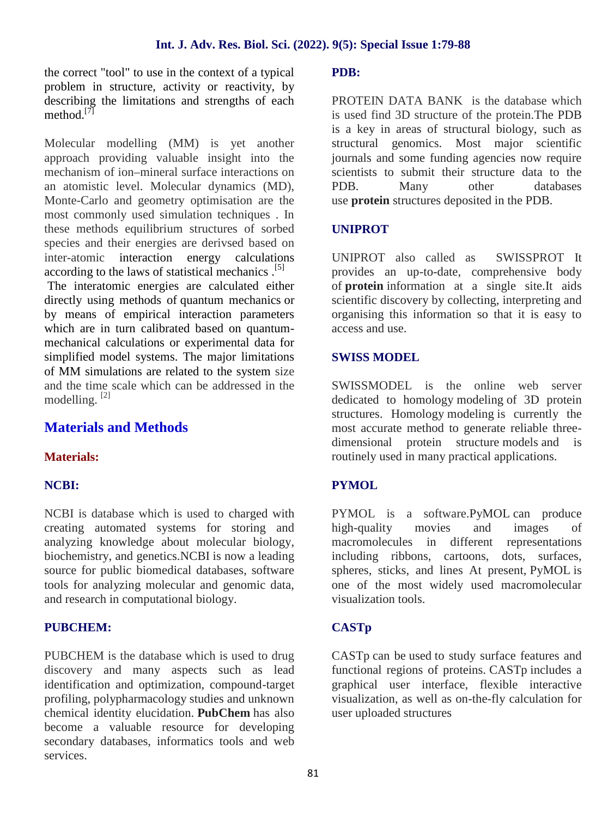the correct "tool" to use in the context of a typical problem in structure, activity or reactivity, by describing the limitations and strengths of each method<sup>[7]</sup>

Molecular modelling (MM) is yet another approach providing valuable insight into the mechanism of ion–mineral surface interactions on an atomistic level. Molecular dynamics (MD), Monte-Carlo and geometry optimisation are the most commonly used simulation techniques . In these methods equilibrium structures of sorbed species and their energies are derivsed based on inter-atomic interaction energy calculations according to the laws of statistical mechanics . [5]

The interatomic energies are calculated either directly using methods of quantum mechanics or by means of empirical interaction parameters which are in turn calibrated based on quantum mechanical calculations or experimental data for simplified model systems. The major limitations of MM simulations are related to the system size and the time scale which can be addressed in the modelling. [2]

# **Materials and Methods**

## **Materials:**

#### **NCBI:**

NCBI is database which is used to charged with creating automated systems for storing and analyzing knowledge about molecular biology, biochemistry, and genetics.NCBI is now a leading source for public biomedical databases, software tools for analyzing molecular and genomic data, and research in computational biology.

#### **PUBCHEM:**

PUBCHEM is the database which is used to drug discovery and many aspects such as lead identification and optimization, compound-target profiling, polypharmacology studies and unknown chemical identity elucidation. **PubChem** has also become a valuable resource for developing secondary databases, informatics tools and web services.

#### **PDB:**

PROTEIN DATA BANK is the database which is used find 3D structure of the protein.The PDB is a key in areas of structural biology, such as structural genomics. Most major scientific journals and some funding agencies now require scientists to submit their structure data to the PDB. Many other databases use **protein** structures deposited in the PDB.

#### **UNIPROT**

UNIPROT also called as SWISSPROT It provides an up-to-date, comprehensive body of **protein** information at a single site.It aids scientific discovery by collecting, interpreting and organising this information so that it is easy to access and use.

#### **SWISS MODEL**

SWISSMODEL is the online web server dedicated to homology modeling of 3D protein structures. Homology modeling is currently the most accurate method to generate reliable three dimensional protein structure models and is routinely used in many practical applications.

#### **PYMOL**

PYMOL is a software.PyMOL can produce high quality movies and images of macromolecules in different representations including ribbons, cartoons, dots, surfaces, spheres, sticks, and lines At present, PyMOL is one of the most widely used macromolecular visualization tools.

#### **CASTp**

CASTp can be used to study surface features and functional regions of proteins. CASTp includes a graphical user interface, flexible interactive visualization, as well as on-the-fly calculation for user uploaded structures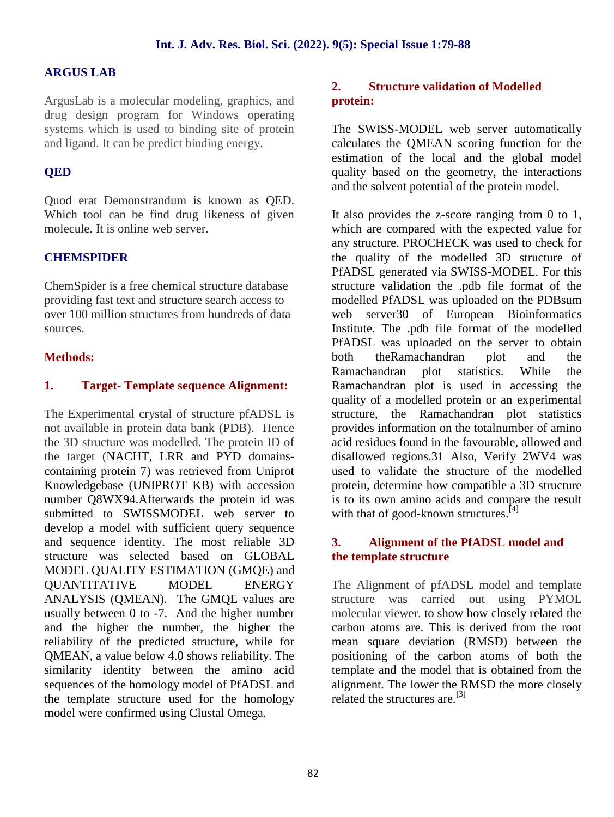#### **ARGUS LAB**

ArgusLab is a molecular modeling, graphics, and drug design program for Windows operating systems which is used to binding site of protein and ligand. It can be predict binding energy.

#### **QED**

Quod erat Demonstrandum is known as QED. Which tool can be find drug likeness of given molecule. It is online web server.

#### **CHEMSPIDER**

ChemSpider is a free chemical structure database providing fast text and structure search access to over 100 million structures from hundreds of data sources.

### **Methods:**

#### **1. Target- Template sequence Alignment:**

The Experimental crystal of structure pfADSL is not available in protein data bank (PDB). Hence the 3D structure was modelled. The protein ID of the target (NACHT, LRR and PYD domains containing protein 7) was retrieved from Uniprot Knowledgebase (UNIPROT KB) with accession number Q8WX94.Afterwards the protein id was submitted to SWISSMODEL web server to develop a model with sufficient query sequence and sequence identity. The most reliable 3D structure was selected based on GLOBAL MODEL QUALITY ESTIMATION (GMQE) and QUANTITATIVE MODEL ENERGY ANALYSIS (QMEAN). The GMQE values are usually between 0 to -7. And the higher number and the higher the number, the higher the reliability of the predicted structure, while for QMEAN, a value below 4.0 shows reliability. The similarity identity between the amino acid sequences of the homology model of PfADSL and the template structure used for the homology model were confirmed using Clustal Omega.

#### **2. Structure validation of Modelled protein:**

The SWISS-MODEL web server automatically calculates the QMEAN scoring function for the estimation of the local and the global model quality based on the geometry, the interactions and the solvent potential of the protein model.

It also provides the z-score ranging from 0 to 1, which are compared with the expected value for any structure. PROCHECK was used to check for the quality of the modelled 3D structure of PfADSL generated via SWISS-MODEL. For this structure validation the .pdb file format of the modelled PfADSL was uploaded on the PDBsum web server30 of European Bioinformatics Institute. The .pdb file format of the modelled PfADSL was uploaded on the server to obtain both theRamachandran plot and the Ramachandran plot statistics. While the Ramachandran plot is used in accessing the quality of a modelled protein or an experimental structure, the Ramachandran plot statistics provides information on the totalnumber of amino acid residues found in the favourable, allowed and disallowed regions.31 Also, Verify 2WV4 was used to validate the structure of the modelled protein, determine how compatible a 3D structure is to its own amino acids and compare the result with that of good-known structures.<sup>[4]</sup>

#### **3. Alignment of the PfADSL model and the template structure**

The Alignment of pfADSL model and template structure was carried out using PYMOL molecular viewer. to show how closely related the carbon atoms are. This is derived from the root mean square deviation (RMSD) between the positioning of the carbon atoms of both the template and the model that is obtained from the alignment. The lower the RMSD the more closely related the structures are.<sup>[3]</sup>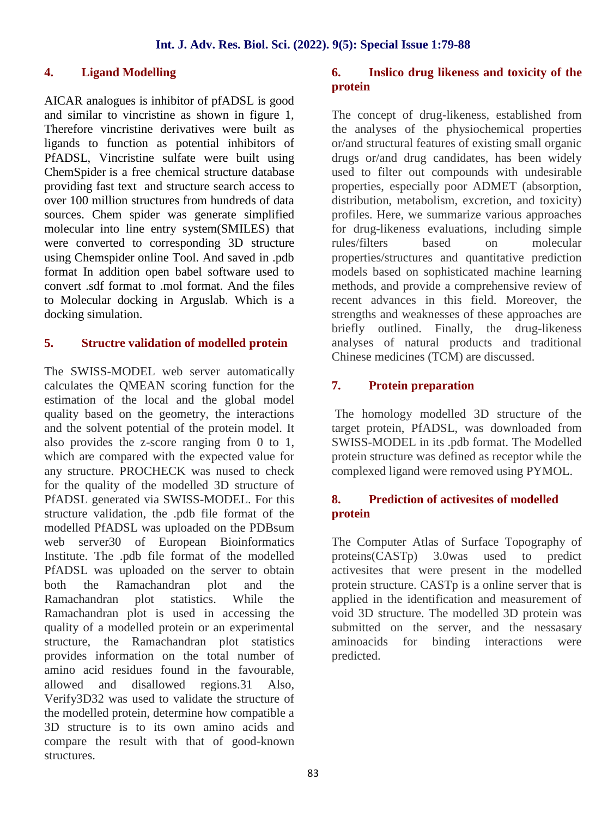#### **4. Ligand Modelling**

AICAR analogues is inhibitor of pfADSL is good and similar to vincristine as shown in figure 1, Therefore vincristine derivatives were built as ligands to function as potential inhibitors of PfADSL, Vincristine sulfate were built using ChemSpider is a free chemical structure database providing fast text and structure search access to over 100 million structures from hundreds of data sources. Chem spider was generate simplified molecular into line entry system(SMILES) that were converted to corresponding 3D structure using Chemspider online Tool. And saved in .pdb format In addition open babel software used to convert .sdf format to .mol format. And the files to Molecular docking in Arguslab. Which is a docking simulation.

#### **5. Structre validation of modelled protein**

The SWISS-MODEL web server automatically calculates the QMEAN scoring function for the  $\overline{7}$ . estimation of the local and the global model quality based on the geometry, the interactions and the solvent potential of the protein model. It also provides the z-score ranging from 0 to 1, which are compared with the expected value for any structure. PROCHECK was nused to check for the quality of the modelled 3D structure of PfADSL generated via SWISS-MODEL. For this structure validation, the .pdb file format of the modelled PfADSL was uploaded on the PDBsum web server30 of European Bioinformatics Institute. The .pdb file format of the modelled PfADSL was uploaded on the server to obtain both the Ramachandran plot and the Ramachandran plot statistics. While the Ramachandran plot is used in accessing the quality of a modelled protein or an experimental structure, the Ramachandran plot statistics provides information on the total number of amino acid residues found in the favourable, allowed and disallowed regions.31 Also, Verify3D32 was used to validate the structure of the modelled protein, determine how compatible a 3D structure is to its own amino acids and compare the result with that of good-known structures.

#### **6. Inslico drug likeness and toxicity of the protein**

The concept of drug-likeness, established from the analyses of the physiochemical properties or/and structural features of existing small organic drugs or/and drug candidates, has been widely used to filter out compounds with undesirable properties, especially poor ADMET (absorption, distribution, metabolism, excretion, and toxicity) profiles. Here, we summarize various approaches for drug-likeness evaluations, including simple rules/filters based on molecular properties/structures and quantitative prediction models based on sophisticated machine learning methods, and provide a comprehensive review of recent advances in this field. Moreover, the strengths and weaknesses of these approaches are briefly outlined. Finally, the drug-likeness analyses of natural products and traditional Chinese medicines (TCM) are discussed.

### **7. Protein preparation**

The homology modelled 3D structure of the target protein, PfADSL, was downloaded from SWISS-MODEL in its .pdb format. The Modelled protein structure was defined as receptor while the complexed ligand were removed using PYMOL.

#### **8. Prediction of activesites of modelled protein**

The Computer Atlas of Surface Topography of 3.0was used to predict activesites that were present in the modelled protein structure. CASTp is a online server that is applied in the identification and measurement of void 3D structure. The modelled 3D protein was submitted on the server, and the nessasary aminoacids for binding interactions were predicted.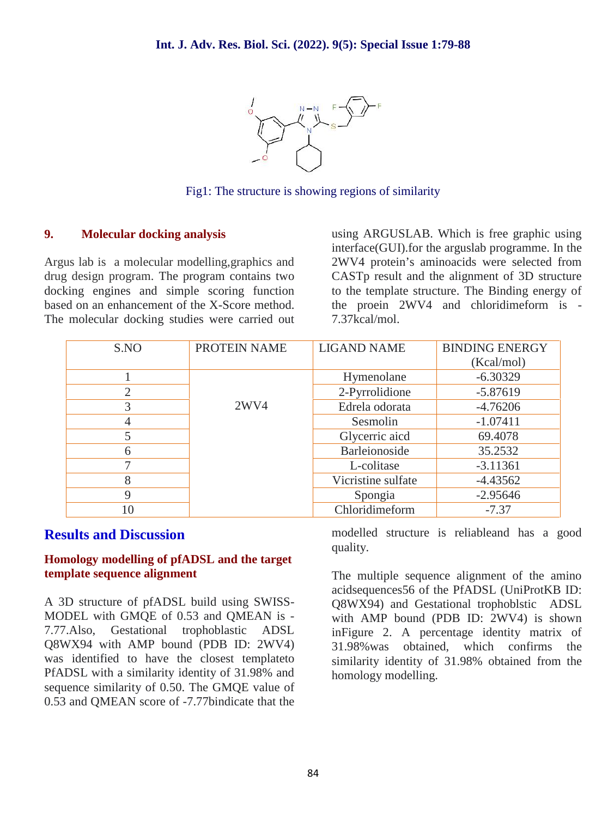

Fig1: The structure is showing regions of similarity

#### **9. Molecular docking analysis**

Argus lab is a molecular modelling,graphics and drug design program. The program contains two docking engines and simple scoring function based on an enhancement of the X-Score method. The molecular docking studies were carried out using ARGUSLAB. Which is free graphic using interface(GUI).for the arguslab programme. In the 2WV4 protein's aminoacids were selected from CASTp result and the alignment of 3D structure to the template structure. The Binding energy of the proein 2WV4 and chloridimeform is - 7.37kcal/mol.

| S.NO           | PROTEIN NAME | <b>LIGAND NAME</b> | <b>BINDING ENERGY</b> |
|----------------|--------------|--------------------|-----------------------|
|                |              |                    | (Kcal/mol)            |
|                |              | Hymenolane         | $-6.30329$            |
| $\overline{2}$ |              | 2-Pyrrolidione     | $-5.87619$            |
| 3              | 2WV4         | Edrela odorata     | $-4.76206$            |
| 4              |              | Sesmolin           | $-1.07411$            |
| 5              |              | Glycerric aicd     | 69.4078               |
| 6              |              | Barleionoside      | 35.2532               |
| ⇁              |              | L-colitase         | $-3.11361$            |
| 8              |              | Vicristine sulfate | $-4.43562$            |
| 9              |              | Spongia            | $-2.95646$            |
| 10             |              | Chloridimeform     | $-7.37$               |

### **Results and Discussion**

#### **Homology modelling of pfADSL and the target template sequence alignment**

A 3D structure of pfADSL build using SWISS- MODEL with GMQE of 0.53 and QMEAN is - 7.77.Also, Gestational trophoblastic ADSL Q8WX94 with AMP bound (PDB ID: 2WV4) was identified to have the closest templateto PfADSL with a similarity identity of 31.98% and sequence similarity of 0.50. The GMQE value of 0.53 and QMEAN score of -7.77bindicate that the

modelled structure is reliableand has a good quality.

The multiple sequence alignment of the amino acidsequences56 of the PfADSL (UniProtKB ID: Q8WX94) and Gestational trophoblstic ADSL with AMP bound (PDB ID: 2WV4) is shown inFigure 2. A percentage identity matrix of 31.98%was obtained, which confirms the similarity identity of 31.98% obtained from the homology modelling.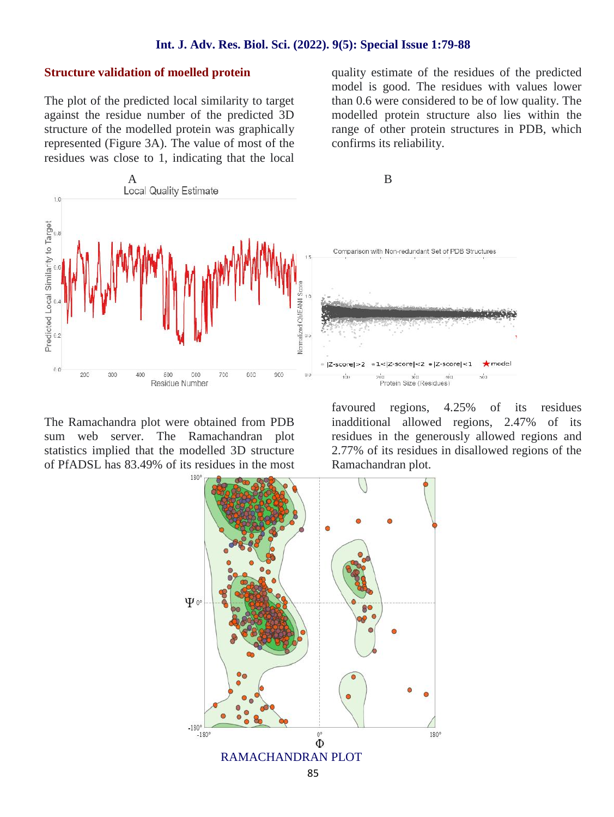#### **Int. J. Adv. Res. Biol. Sci. (2022). 9(5): Special Issue 1:79-88**

#### **Structure validation of moelled protein**

The plot of the predicted local similarity to target against the residue number of the predicted 3D structure of the modelled protein was graphically represented (Figure 3A). The value of most of the residues was close to 1, indicating that the local quality estimate of the residues of the predicted model is good. The residues with values lower than 0.6 were considered to be of low quality. The modelled protein structure also lies within the range of other protein structures in PDB, which confirms its reliability.



The Ramachandra plot were obtained from PDB sum web server. The Ramachandran plot statistics implied that the modelled 3D structure of PfADSL has 83.49% of its residues in the most favoured regions, 4.25% of its residues inadditional allowed regions, 2.47% of its residues in the generously allowed regions and 2.77% of its residues in disallowed regions of the Ramachandran plot.

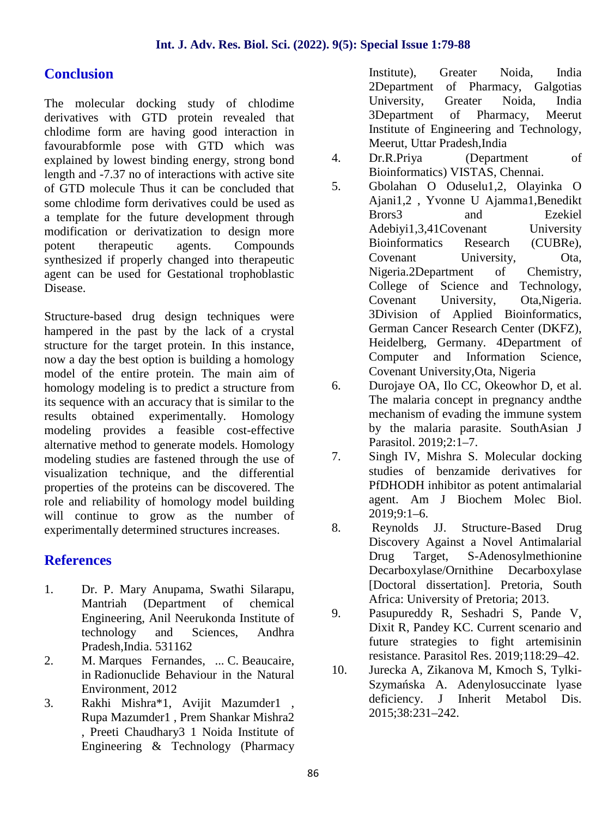# **Conclusion**

The molecular docking study of chlodime derivatives with GTD protein revealed that chlodime form are having good interaction in favourabformle pose with GTD which was explained by lowest binding energy, strong bond  $\frac{4}{1}$ . length and -7.37 no of interactions with active site<br>of GTD molecule Thus it can be concluded that 5. of GTD molecule Thus it can be concluded that some chlodime form derivatives could be used as a template for the future development through modification or derivatization to design more potent therapeutic agents. Compounds synthesized if properly changed into therapeutic agent can be used for Gestational trophoblastic Disease.

Structure-based drug design techniques were hampered in the past by the lack of a crystal structure for the target protein. In this instance, now a day the best option is building a homology model of the entire protein. The main aim of homology modeling is to predict a structure from  $\sim 6$ . its sequence with an accuracy that is similar to the results obtained experimentally. Homology modeling provides a feasible cost-effective alternative method to generate models. Homology<br>modeling studies are fastened through the use of  $\frac{7}{10}$ . modeling studies are fastened through the use of visualization technique, and the differential properties of the proteins can be discovered. The role and reliability of homology model building will continue to grow as the number of experimentally determined structures increases.

# **References**

- 1. Dr. P. Mary Anupama, Swathi Silarapu, Mantriah (Department of chemical Engineering, Anil Neerukonda Institute of technology and Sciences, Andhra Pradesh,India. 531162
- 2. M. Marques Fernandes, ... C. Beaucaire, in Radionuclide Behaviour in the Natural Environment, 2012
- 3. Rakhi Mishra\*1, Avijit Mazumder1 , Rupa Mazumder1 , Prem Shankar Mishra2 , Preeti Chaudhary3 1 Noida Institute of Engineering & Technology (Pharmacy

Institute), Greater Noida, India 2Department of Pharmacy, Galgotias University, Greater Noida, India 3Department of Pharmacy, Meerut Institute of Engineering and Technology, Meerut, Uttar Pradesh,India

- Dr.R.Priya (Department of Bioinformatics) VISTAS, Chennai.
- 5. Gbolahan O Oduselu1,2, Olayinka O Ajani1,2 , Yvonne U Ajamma1,Benedikt Brors3 and Ezekiel Adebiyi1,3,41Covenant University Bioinformatics Research (CUBRe), Covenant University, Ota, Nigeria.2Department of Chemistry, College of Science and Technology, Covenant University, Ota,Nigeria. 3Division of Applied Bioinformatics, German Cancer Research Center (DKFZ), Heidelberg, Germany. 4Department of Computer and Information Science, Covenant University,Ota, Nigeria
- 6. Durojaye OA, Ilo CC, Okeowhor D, et al. The malaria concept in pregnancy andthe mechanism of evading the immune system by the malaria parasite. SouthAsian J Parasitol. 2019;2:1–7.
- Singh IV, Mishra S. Molecular docking studies of benzamide derivatives for PfDHODH inhibitor as potent antimalarial agent. Am J Biochem Molec Biol. 2019;9:1–6.
- 8. Reynolds JJ. Structure-Based Drug Discovery Against a Novel Antimalarial Drug Target, S-Adenosylmethionine Decarboxylase/Ornithine Decarboxylase [Doctoral dissertation]. Pretoria, South Africa: University of Pretoria; 2013.
- 9. Pasupureddy R, Seshadri S, Pande V, Dixit R, Pandey KC. Current scenario and future strategies to fight artemisinin resistance. Parasitol Res. 2019;118:29–42.
- 10. Jurecka A, Zikanova M, Kmoch S, Tylki- Szyma ska A. Adenylosuccinate lyase deficiency. J Inherit Metabol Dis. 2015;38:231–242.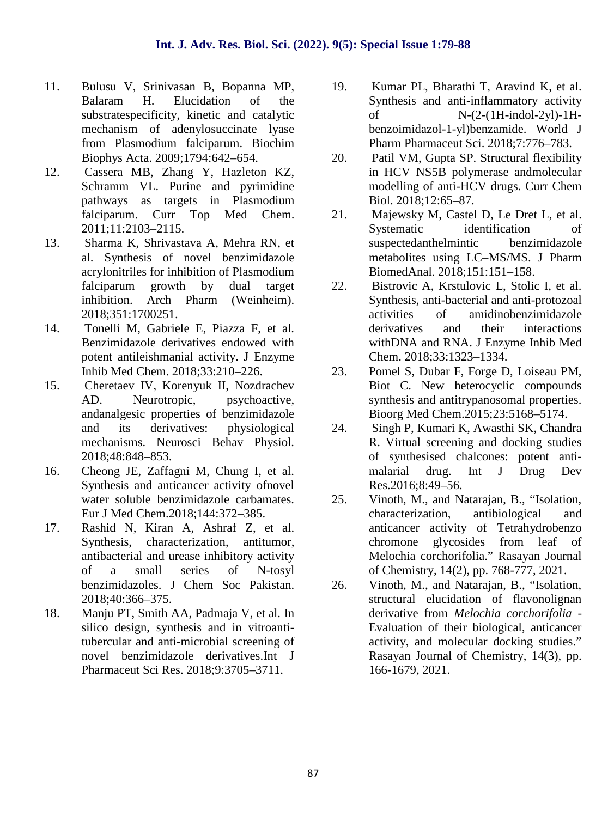- 11. Bulusu V, Srinivasan B, Bopanna MP, Balaram H. Elucidation of the substratespecificity, kinetic and catalytic mechanism of adenylosuccinate lyase from Plasmodium falciparum. Biochim Biophys Acta. 2009;1794:642–654.
- 12. Cassera MB, Zhang Y, Hazleton KZ, Schramm VL. Purine and pyrimidine pathways as targets in Plasmodium falciparum. Curr Top Med Chem. 2011;11:2103–2115.
- 13. Sharma K, Shrivastava A, Mehra RN, et al. Synthesis of novel benzimidazole acrylonitriles for inhibition of Plasmodium falciparum growth by dual target inhibition. Arch Pharm (Weinheim). 2018;351:1700251.
- 14. Tonelli M, Gabriele E, Piazza F, et al. Benzimidazole derivatives endowed with potent antileishmanial activity. J Enzyme Inhib Med Chem. 2018;33:210–226.
- 15. Cheretaev IV, Korenyuk II, Nozdrachev AD. Neurotropic, psychoactive, andanalgesic properties of benzimidazole and its derivatives: physiological mechanisms. Neurosci Behav Physiol. 2018;48:848–853.
- 16. Cheong JE, Zaffagni M, Chung I, et al. Synthesis and anticancer activity ofnovel water soluble benzimidazole carbamates. Eur J Med Chem.2018;144:372–385.
- 17. Rashid N, Kiran A, Ashraf Z, et al. Synthesis, characterization, antitumor, antibacterial and urease inhibitory activity of a small series of N-tosyl benzimidazoles. J Chem Soc Pakistan. 2018;40:366–375.
- 18. Manju PT, Smith AA, Padmaja V, et al. In silico design, synthesis and in vitroantitubercular and anti-microbial screening of novel benzimidazole derivatives.Int J Pharmaceut Sci Res. 2018;9:3705–3711.
- 19. Kumar PL, Bharathi T, Aravind K, et al. Synthesis and anti-inflammatory activity of N-(2-(1H-indol-2yl)-1H benzoimidazol-1-yl)benzamide. World J Pharm Pharmaceut Sci. 2018;7:776–783.
- 20. Patil VM, Gupta SP. Structural flexibility in HCV NS5B polymerase andmolecular modelling of anti-HCV drugs. Curr Chem Biol. 2018;12:65–87.
- 21. Majewsky M, Castel D, Le Dret L, et al. Systematic identification of suspectedanthelmintic benzimidazole metabolites using LC–MS/MS. J Pharm BiomedAnal. 2018;151:151–158.
- 22. Bistrovic A, Krstulovic L, Stolic I, et al. Synthesis, anti-bacterial and anti-protozoal activities of amidinobenzimidazole derivatives and their interactions withDNA and RNA. J Enzyme Inhib Med Chem. 2018;33:1323–1334.
- 23. Pomel S, Dubar F, Forge D, Loiseau PM, Biot C. New heterocyclic compounds synthesis and antitrypanosomal properties. Bioorg Med Chem.2015;23:5168–5174.
- 24. Singh P, Kumari K, Awasthi SK, Chandra R. Virtual screening and docking studies of synthesised chalcones: potent anti malarial drug. Int J Drug Dev Res.2016;8:49–56.
- 25. Vinoth, M., and Natarajan, B., "Isolation, characterization, antibiological and anticancer activity of Tetrahydrobenzo chromone glycosides from leaf of Melochia corchorifolia." Rasayan Journal of Chemistry, 14(2), pp. 768-777, 2021.
- 26. Vinoth, M., and Natarajan, B., "Isolation, structural elucidation of flavonolignan derivative from *Melochia corchorifolia* - Evaluation of their biological, anticancer activity, and molecular docking studies." Rasayan Journal of Chemistry, 14(3), pp. 166-1679, 2021.